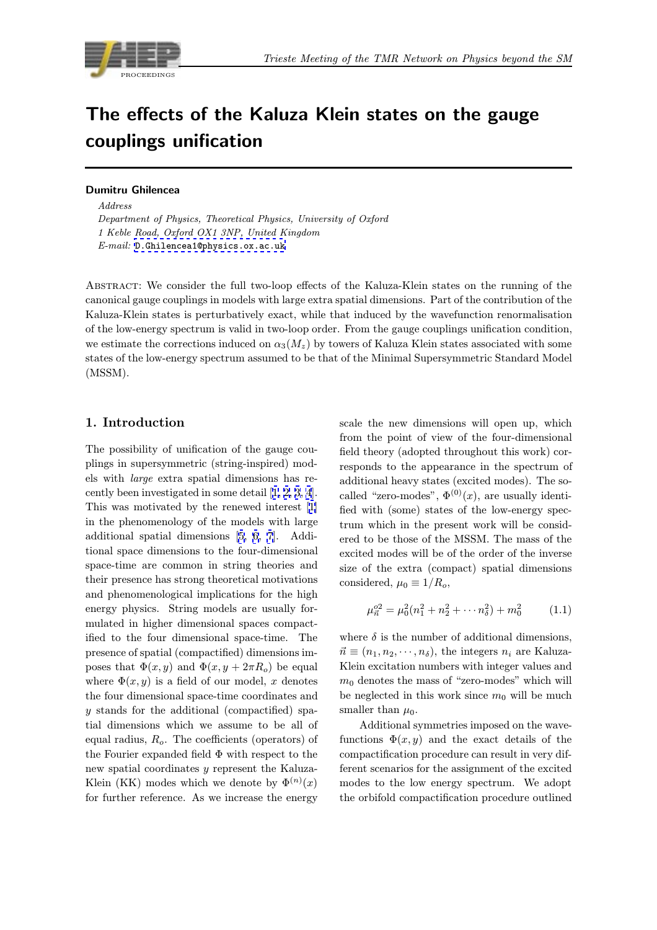

# The effects of the Kaluza Klein states on the gauge<br>couplings unification couplings unification

 $Address$ Department of Physics, Theoretical Physics, University of Oxford 1 Keble Road, Oxford OX1 3NP, United Kingdom E-mail: D.Ghilencea1@physics.ox.ac.uk

Abstract: We consider the full two-loop effects of the Kaluza-Klein states on the running of the canonical [gauge couplings in models with l](mailto:D.Ghilencea1@physics.ox.ac.uk)arge extra spatial dimensions. Part of the contribution of the Kaluza-Klein states is perturbatively exact, while that induced by the wavefunction renormalisation of the low-energy spectrum is valid in two-loop order. From the gauge couplings unification condition, we estimate the corrections induced on  $\alpha_3(M_z)$  by towers of Kaluza Klein states associated with some states of the low-energy spectrum assumed to be that of the Minimal Supersymmetric Standard Model (MSSM).

# 1. Introduction

The possibility of unification of the gauge couplings in supersymmetric (string-inspired) models with large extra spatial dimensions has recently been investigated in some detail [1, 2, 3, 4]. This was motivated by the renewed interest [1] in the phenomenology of the models with large additional spatial dimensions [5, 6, 7]. Additional space dimensions to the four-di[men](#page-6-0)s[iona](#page-6-0)l space-time are common in string theories a[nd](#page-6-0) their presence has strong theoretical motivations and phenomenological implicat[io](#page-6-0)n[s](#page-6-0) f[or](#page-6-0) the high energy physics. String models are usually formulated in higher dimensional spaces compactified to the four dimensional space-time. The presence of spatial (compactified) dimensions imposes that  $\Phi(x, y)$  and  $\Phi(x, y + 2\pi R_o)$  be equal where  $\Phi(x, y)$  is a field of our model, x denotes the four dimensional space-time coordinates and y stands for the additional (compactified) spatial dimensions which we assume to be all of equal radius,  $R<sub>o</sub>$ . The coefficients (operators) of the Fourier expanded field  $\Phi$  with respect to the new spatial coordinates y represent the Kaluza-Klein (KK) modes which we denote by  $\Phi^{(n)}(x)$ for further reference. As we increase the energy scale the new dimensions will open up, which from the point of view of the four-dimensional field theory (adopted throughout this work) corresponds to the appearance in the spectrum of additional heavy states (excited modes). The socalled "zero-modes",  $\Phi^{(0)}(x)$ , are usually identified with (some) states of the low-energy spectrum which in the present work will be considered to be those of the MSSM. The mass of the excited modes will be of the order of the inverse size of the extra (compact) spatial dimensions considered,  $\mu_0 \equiv 1/R_o$ ,

$$
\mu_{\vec{n}}^{o2} = \mu_0^2 (n_1^2 + n_2^2 + \cdots + n_\delta^2) + m_0^2 \tag{1.1}
$$

where  $\delta$  is the number of additional dimensions,  $\vec{n} \equiv (n_1, n_2, \cdots, n_\delta)$ , the integers  $n_i$  are Kaluza-Klein excitation numbers with integer values and  $m_0$  denotes the mass of "zero-modes" which will be neglected in this work since  $m_0$  will be much smaller than  $\mu_0$ .

Additional symmetries imposed on the wavefunctions  $\Phi(x, y)$  and the exact details of the compactification procedure can result in very different scenarios for the assignment of the excited modes to the low energy spectrum. We adopt the orbifold compactification procedure outlined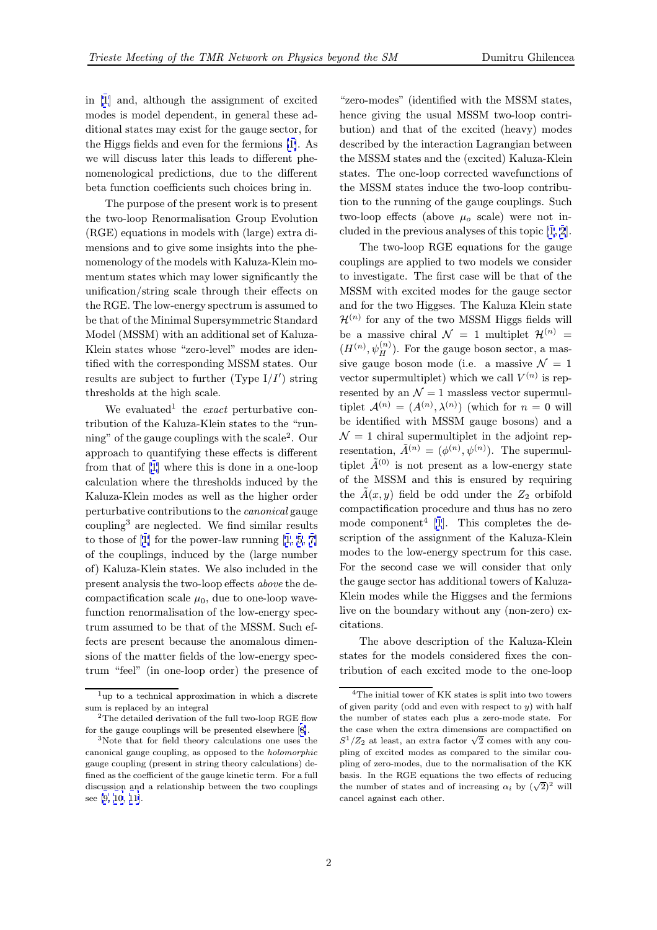in [1] and, although the assignment of excited modes is model dependent, in general these additional states may exist for the gauge sector, for the Higgs fields and even for the fermions [1]. As we [w](#page-6-0)ill discuss later this leads to different phenomenological predictions, due to the different beta function coefficients such choices bring in.

The purpose of the present work is to [pre](#page-6-0)sent the two-loop Renormalisation Group Evolution (RGE) equations in models with (large) extra dimensions and to give some insights into the phenomenology of the models with Kaluza-Klein momentum states which may lower significantly the unification/string scale through their effects on the RGE. The low-energy spectrum is assumed to be that of the Minimal Supersymmetric Standard Model (MSSM) with an additional set of Kaluza-Klein states whose "zero-level" modes are identified with the corresponding MSSM states. Our results are subject to further (Type  $I/I'$ ) string thresholds at the high scale.

We evaluated<sup>1</sup> the *exact* perturbative contribution of the Kaluza-Klein states to the "running" of the gauge couplings with the scale<sup>2</sup>. Our approach to quantifying these effects is different from that of [1] where this is done in a one-loop calculation where the thresholds induced by the Kaluza-Klein modes as well as the higher order perturbative contributions to the canonical gauge coupling<sup>3</sup> are [n](#page-6-0)eglected. We find similar results to those of  $[1]$  for the power-law running  $[1, 5, 7]$ of the couplings, induced by the (large number of) Kaluza-Klein states. We also included in the present analysis the two-loop effects above the decompactific[at](#page-6-0)ion scale  $\mu_0$ , due to one-loo[p](#page-6-0) [wave](#page-6-0)function renormalisation of the low-energy spectrum assumed to be that of the MSSM. Such effects are present because the anomalous dimensions of the matter fields of the low-energy spectrum "feel" (in one-loop order) the presence of

"zero-modes" (identified with the MSSM states, hence giving the usual MSSM two-loop contribution) and that of the excited (heavy) modes described by the interaction Lagrangian between the MSSM states and the (excited) Kaluza-Klein states. The one-loop corrected wavefunctions of the MSSM states induce the two-loop contribution to the running of the gauge couplings. Such two-loop effects (above  $\mu_o$  scale) were not included in the previous analyses of this topic [1, 2].

The two-loop RGE equations for the gauge couplings are applied to two models we consider to investigate. The first case will be that of the MSSM with excited modes for the gauge s[ecto](#page-6-0)r and for the two Higgses. The Kaluza Klein state  $\mathcal{H}^{(n)}$  for any of the two MSSM Higgs fields will be a massive chiral  $\mathcal{N} = 1$  multiplet  $\mathcal{H}^{(n)} =$  $(H^{(n)}, \psi_H^{(n)})$ . For the gauge boson sector, a massive gauge boson mode (i.e. a massive  $\mathcal{N} = 1$ vector supermultiplet) which we call  $V^{(n)}$  is represented by an  $\mathcal{N}=1$  massless vector supermultiplet  $\mathcal{A}^{(n)} = (A^{(n)}, \lambda^{(n)})$  (which for  $n = 0$  will be identified with MSSM gauge bosons) and a  $\mathcal{N}=1$  chiral supermultiplet in the adjoint representation,  $\tilde{A}^{(n)} = (\phi^{(n)}, \psi^{(n)})$ . The supermultiplet  $\tilde{A}^{(0)}$  is not present as a low-energy state of the MSSM and this is ensured by requiring the  $\tilde{A}(x, y)$  field be odd under the  $Z_2$  orbifold compactification procedure and thus has no zero mode component<sup>4</sup> [1]. This completes the description of the assignment of the Kaluza-Klein modes to the low-energy spectrum for this case. For the second case we will consider that only the gauge sector has [a](#page-6-0)dditional towers of Kaluza-Klein modes while the Higgses and the fermions live on the boundary without any (non-zero) excitations.

The above description of the Kaluza-Klein states for the models considered fixes the contribution of each excited mode to the one-loop

 $1$ up to a technical approximation in which a discrete sum is replaced by an integral

<sup>&</sup>lt;sup>2</sup>The detailed derivation of the full two-loop RGE flow for the gauge couplings will be presented elsewhere [8].

<sup>3</sup>Note that for field theory calculations one uses the canonical gauge coupling, as opposed to the holomorphic gauge coupling (present in string theory calculations) defined as the coefficient of the gauge kinetic term. For a full discussion and a relationship between the two coup[lin](#page-6-0)gs see [9, 10, 11].

<sup>4</sup>The initial tower of KK states is split into two towers of given parity (odd and even with respect to  $y$ ) with half the number of states each plus a zero-mode state. For the case when the extra dimensions are compactified on  $S^1/Z_2$  at least, an extra factor  $\sqrt{2}$  comes with any coupling of excited modes as compared to the similar coupling of zero-modes, due to the normalisation of the KK basis. In the RGE equations the two effects of reducing the number of states and of increasing  $\alpha_i$  by  $(\sqrt{2})^2$  will cancel against each other.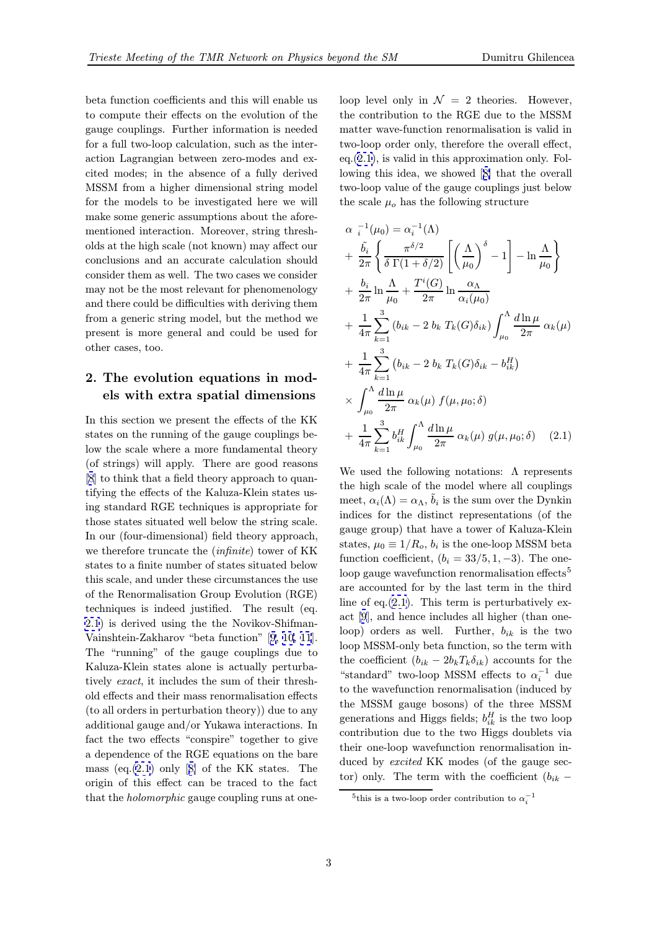<span id="page-2-0"></span>beta function coefficients and this will enable us to compute their effects on the evolution of the gauge couplings. Further information is needed for a full two-loop calculation, such as the interaction Lagrangian between zero-modes and excited modes; in the absence of a fully derived MSSM from a higher dimensional string model for the models to be investigated here we will make some generic assumptions about the aforementioned interaction. Moreover, string thresholds at the high scale (not known) may affect our conclusions and an accurate calculation should consider them as well. The two cases we consider may not be the most relevant for phenomenology and there could be difficulties with deriving them from a generic string model, but the method we present is more general and could be used for other cases, too.

# 2. The evolution equations in models with extra spatial dimensions

In this section we present the effects of the KK states on the running of the gauge couplings below the scale where a more fundamental theory (of strings) will apply. There are good reasons [8] to think that a field theory approach to quantifying the effects of the Kaluza-Klein states using standard RGE techniques is appropriate for those states situated well below the string scale. [In](#page-6-0) our (four-dimensional) field theory approach, we therefore truncate the (infinite) tower of KK states to a finite number of states situated below this scale, and under these circumstances the use of the Renormalisation Group Evolution (RGE) techniques is indeed justified. The result (eq. 2.1) is derived using the the Novikov-Shifman-Vainshtein-Zakharov "beta function" [9, 10, 11]. The "running" of the gauge couplings due to Kaluza-Klein states alone is actually perturbatively exact, it includes the sum of their threshold effects and their mass renormalisat[ion effect](#page-6-0)s (to all orders in perturbation theory)) due to any additional gauge and/or Yukawa interactions. In fact the two effects "conspire" together to give a dependence of the RGE equations on the bare mass (eq.(2.1) only [8] of the KK states. The origin of this effect can be traced to the fact that the holomorphic gauge coupling runs at one-

loop level only in  $\mathcal{N} = 2$  theories. However, the contribution to the RGE due to the MSSM matter wave-function renormalisation is valid in two-loop order only, therefore the overall effect,  $eq.(2.1)$ , is valid in this approximation only. Following this idea, we showed [8] that the overall two-loop value of the gauge couplings just below the scale  $\mu_o$  has the following structure

$$
\alpha_{i}^{-1}(\mu_{0}) = \alpha_{i}^{-1}(\Lambda)
$$
\n
$$
+ \frac{\tilde{b}_{i}}{2\pi} \left\{ \frac{\pi^{\delta/2}}{\delta \Gamma(1 + \delta/2)} \left[ \left( \frac{\Lambda}{\mu_{0}} \right)^{\delta} - 1 \right] - \ln \frac{\Lambda}{\mu_{0}} \right\}
$$
\n
$$
+ \frac{b_{i}}{2\pi} \ln \frac{\Lambda}{\mu_{0}} + \frac{T^{i}(G)}{2\pi} \ln \frac{\alpha_{\Lambda}}{\alpha_{i}(\mu_{0})}
$$
\n
$$
+ \frac{1}{4\pi} \sum_{k=1}^{3} (b_{ik} - 2 b_{k} T_{k}(G) \delta_{ik}) \int_{\mu_{0}}^{\Lambda} \frac{d \ln \mu}{2\pi} \alpha_{k}(\mu)
$$
\n
$$
+ \frac{1}{4\pi} \sum_{k=1}^{3} (b_{ik} - 2 b_{k} T_{k}(G) \delta_{ik} - b_{ik}^{H})
$$
\n
$$
\times \int_{\mu_{0}}^{\Lambda} \frac{d \ln \mu}{2\pi} \alpha_{k}(\mu) f(\mu, \mu_{0}; \delta)
$$
\n
$$
+ \frac{1}{4\pi} \sum_{k=1}^{3} b_{ik}^{H} \int_{\mu_{0}}^{\Lambda} \frac{d \ln \mu}{2\pi} \alpha_{k}(\mu) g(\mu, \mu_{0}; \delta) \quad (2.1)
$$

We used the following notations:  $\Lambda$  represents the high scale of the model where all couplings meet,  $\alpha_i(\Lambda) = \alpha_{\Lambda}, b_i$  is the sum over the Dynkin indices for the distinct representations (of the gauge group) that have a tower of Kaluza-Klein states,  $\mu_0 \equiv 1/R_o$ ,  $b_i$  is the one-loop MSSM beta function coefficient,  $(b_i = 33/5, 1, -3)$ . The oneloop gauge wavefunction renormalisation effects<sup>5</sup> are accounted for by the last term in the third line of eq. $(2.1)$ . This term is perturbatively exact [9], and hence includes all higher (than oneloop) orders as well. Further,  $b_{ik}$  is the two loop MSSM-only beta function, so the term with the coefficient  $(b_{ik} - 2b_kT_k\delta_{ik})$  accounts for the "sta[nd](#page-6-0)ard" two-loop MSSM effects to  $\alpha_i^{-1}$  due to the wavefunction renormalisation (induced by the MSSM gauge bosons) of the three MSSM generations and Higgs fields;  $b_{ik}^H$  is the two loop contribution due to the two Higgs doublets via their one-loop wavefunction renormalisation induced by *excited* KK modes (of the gauge sector) only. The term with the coefficient  $(b_{ik} -$ 

 $^{5}$ this is a two-loop order contribution to  $\alpha_{i}^{-1}$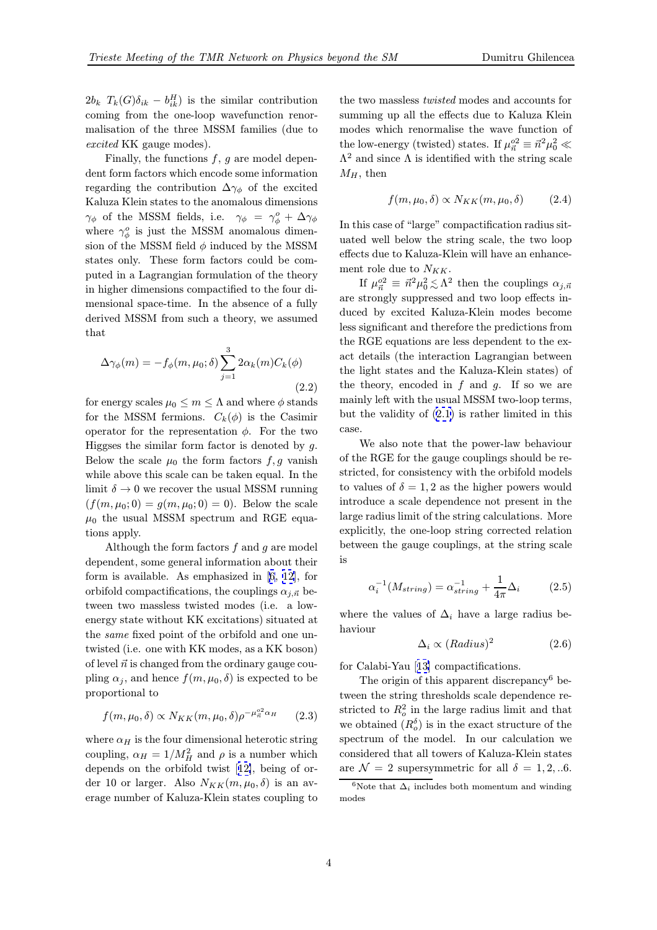$2b_k$   $T_k(G)\delta_{ik} - b_{ik}^H$  is the similar contribution coming from the one-loop wavefunction renormalisation of the three MSSM families (due to excited KK gauge modes).

Finally, the functions  $f, g$  are model dependent form factors which encode some information regarding the contribution  $\Delta\gamma_{\phi}$  of the excited Kaluza Klein states to the anomalous dimensions  $\gamma_{\phi}$  of the MSSM fields, i.e.  $\gamma_{\phi} = \gamma_{\phi}^{o} + \Delta \gamma_{\phi}$ where  $\gamma_{\phi}^{o}$  is just the MSSM anomalous dimension of the MSSM field  $\phi$  induced by the MSSM states only. These form factors could be computed in a Lagrangian formulation of the theory in higher dimensions compactified to the four dimensional space-time. In the absence of a fully derived MSSM from such a theory, we assumed that

$$
\Delta \gamma_{\phi}(m) = -f_{\phi}(m, \mu_0; \delta) \sum_{j=1}^{3} 2\alpha_k(m) C_k(\phi)
$$
\n(2.2)

for energy scales  $\mu_0 \leq m \leq \Lambda$  and where  $\phi$  stands for the MSSM fermions.  $C_k(\phi)$  is the Casimir operator for the representation  $\phi$ . For the two Higgses the similar form factor is denoted by  $g$ . Below the scale  $\mu_0$  the form factors  $f, g$  vanish while above this scale can be taken equal. In the limit  $\delta \to 0$  we recover the usual MSSM running  $(f(m, \mu_0; 0) = g(m, \mu_0; 0) = 0)$ . Below the scale  $\mu_0$  the usual MSSM spectrum and RGE equations apply.

Although the form factors  $f$  and  $g$  are model dependent, some general information about their form is available. As emphasized in [6, 12], for orbifold compactifications, the couplings  $\alpha_{i,\vec{n}}$  between two massless twisted modes (i.e. a lowenergy state without KK excitations) situated at the same fixed point of the orbifold a[nd](#page-6-0) [one](#page-6-0) untwisted (i.e. one with KK modes, as a KK boson) of level  $\vec{n}$  is changed from the ordinary gauge coupling  $\alpha_j$ , and hence  $f(m, \mu_0, \delta)$  is expected to be proportional to

$$
f(m, \mu_0, \delta) \propto N_{KK}(m, \mu_0, \delta) \rho^{-\mu_{\vec{n}}^{o2} \alpha_H} \qquad (2.3)
$$

where  $\alpha_H$  is the four dimensional heterotic string coupling,  $\alpha_H = 1/M_H^2$  and  $\rho$  is a number which depends on the orbifold twist [12], being of order 10 or larger. Also  $N_{KK}(m, \mu_0, \delta)$  is an average number of Kaluza-Klein states coupling to

the two massless twisted modes and accounts for summing up all the effects due to Kaluza Klein modes which renormalise the wave function of the low-energy (twisted) states. If  $\mu_{\vec{n}}^{\circ 2} \equiv \vec{n}^2 \mu_0^2 \ll$  $\Lambda^2$  and since  $\Lambda$  is identified with the string scale  $M_H$ , then

$$
f(m, \mu_0, \delta) \propto N_{KK}(m, \mu_0, \delta) \tag{2.4}
$$

In this case of "large" compactification radius situated well below the string scale, the two loop effects due to Kaluza-Klein will have an enhancement role due to  $N_{KK}$ .

If  $\mu_{\vec{n}}^{\circ 2} \equiv \vec{n}^2 \mu_0^2 \lesssim \Lambda^2$  then the couplings  $\alpha_{j,\vec{n}}$ are strongly suppressed and two loop effects induced by excited Kaluza-Klein modes become less significant and therefore the predictions from the RGE equations are less dependent to the exact details (the interaction Lagrangian between the light states and the Kaluza-Klein states) of the theory, encoded in  $f$  and  $g$ . If so we are mainly left with the usual MSSM two-loop terms, but the validity of (2.1) is rather limited in this case.

We also note that the power-law behaviour of the RGE for the gauge couplings should be restricted, for consiste[ncy](#page-2-0) with the orbifold models to values of  $\delta = 1, 2$  as the higher powers would introduce a scale dependence not present in the large radius limit of the string calculations. More explicitly, the one-loop string corrected relation between the gauge couplings, at the string scale is

$$
\alpha_i^{-1}(M_{string}) = \alpha_{string}^{-1} + \frac{1}{4\pi} \Delta_i \tag{2.5}
$$

where the values of  $\Delta_i$  have a large radius behaviour

$$
\Delta_i \propto (Radius)^2 \tag{2.6}
$$

for Calabi-Yau [13] compactifications.

The origin of this apparent discrepancy<sup>6</sup> between the string thresholds scale dependence restricted to  $R_o^2$  in the large radius limit and that we obtained  $(R_o^{\delta})$  is in the exact structure of the spectrum of the model. In our calculation we considered that all towers of Kaluza-Klein states are  $\mathcal{N} = 2$  supersymmetric for all  $\delta = 1, 2, ... 6$ .

<sup>&</sup>lt;sup>6</sup>Note that  $\Delta_i$  includes both momentum and winding modes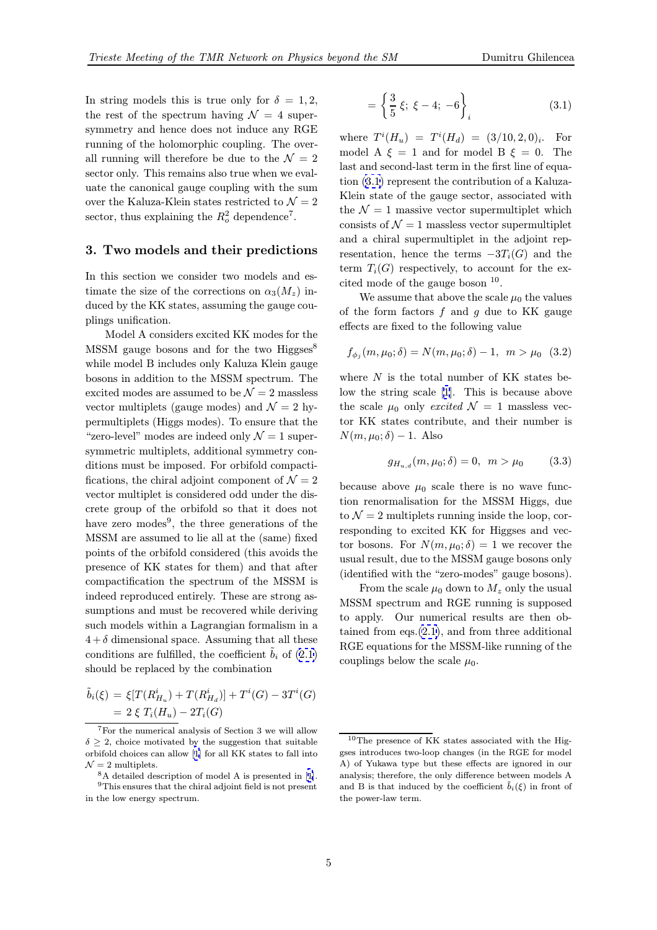In string models this is true only for  $\delta = 1, 2$ , the rest of the spectrum having  $\mathcal{N} = 4$  supersymmetry and hence does not induce any RGE running of the holomorphic coupling. The overall running will therefore be due to the  $\mathcal{N}=2$ sector only. This remains also true when we evaluate the canonical gauge coupling with the sum over the Kaluza-Klein states restricted to  $\mathcal{N}=2$ sector, thus explaining the  $R_o^2$  dependence<sup>7</sup>.

# 3. Two models and their predictions

In this section we consider two models and estimate the size of the corrections on  $\alpha_3(M_z)$  induced by the KK states, assuming the gauge couplings unification.

Model A considers excited KK modes for the MSSM gauge bosons and for the two Higgses<sup>8</sup> while model B includes only Kaluza Klein gauge bosons in addition to the MSSM spectrum. The excited modes are assumed to be  $\mathcal{N}=2$  massless vector multiplets (gauge modes) and  $\mathcal{N}=2$  hypermultiplets (Higgs modes). To ensure that the "zero-level" modes are indeed only  $\mathcal{N}=1$  supersymmetric multiplets, additional symmetry conditions must be imposed. For orbifold compactifications, the chiral adjoint component of  $\mathcal{N} = 2$ vector multiplet is considered odd under the discrete group of the orbifold so that it does not have zero modes<sup>9</sup>, the three generations of the MSSM are assumed to lie all at the (same) fixed points of the orbifold considered (this avoids the presence of KK states for them) and that after compactification the spectrum of the MSSM is indeed reproduced entirely. These are strong assumptions and must be recovered while deriving such models within a Lagrangian formalism in a  $4+\delta$  dimensional space. Assuming that all these conditions are fulfilled, the coefficient  $b_i$  of  $(2.1)$ should be replaced by the combination

$$
\tilde{b}_i(\xi) = \xi [T(R_{H_u}^i) + T(R_{H_d}^i)] + T^i(G) - 3T^i(G) \n= 2 \xi T_i(H_u) - 2T_i(G)
$$

$$
= \left\{ \frac{3}{5} \xi; \ \xi - 4; \ -6 \right\}_i \tag{3.1}
$$

where  $T^{i}(H_u) = T^{i}(H_d) = (3/10, 2, 0)_{i}$ . For model A  $\xi = 1$  and for model B  $\xi = 0$ . The last and second-last term in the first line of equation (3.1) represent the contribution of a Kaluza-Klein state of the gauge sector, associated with the  $\mathcal{N}=1$  massive vector supermultiplet which consists of  $\mathcal{N}=1$  massless vector supermultiplet and a chiral supermultiplet in the adjoint representation, hence the terms  $-3T_i(G)$  and the term  $T_i(G)$  respectively, to account for the excited mode of the gauge boson <sup>10</sup>.

We assume that above the scale  $\mu_0$  the values of the form factors  $f$  and  $g$  due to KK gauge effects are fixed to the following value

$$
f_{\phi_j}(m, \mu_0; \delta) = N(m, \mu_0; \delta) - 1, \ \ m > \mu_0 \ \ (3.2)
$$

where  $N$  is the total number of KK states below the string scale [1]. This is because above the scale  $\mu_0$  only excited  $\mathcal{N} = 1$  massless vector KK states contribute, and their number is  $N(m, \mu_0; \delta) - 1$ . Also

$$
g_{H_{u,d}}(m,\mu_0;\delta) = 0, \ \ m > \mu_0 \tag{3.3}
$$

because above  $\mu_0$  scale there is no wave function renormalisation for the MSSM Higgs, due to  $\mathcal{N} = 2$  multiplets running inside the loop, corresponding to excited KK for Higgses and vector bosons. For  $N(m, \mu_0; \delta) = 1$  we recover the usual result, due to the MSSM gauge bosons only (identified with the "zero-modes" gauge bosons).

From the scale  $\mu_0$  down to  $M_z$  only the usual MSSM spectrum and RGE running is supposed to apply. Our numerical results are then obtained from eqs.(2.1), and from three additional RGE equations for the MSSM-like running of the couplings below the scale  $\mu_0$ .

<sup>7</sup>For the numerical analysis of Section 3 we will allow  $\delta \geq 2$ , choice motivated by the suggestion that suitable orbifold choices can allow [1] for all KK states to fall into  $\mathcal{N}=2$  multiplets.

<sup>8</sup>A detailed description of model A is presented in [1].

 $^9\mathrm{This}$  ensures that the chiral adjoint field is not present in the low energy spectru[m.](#page-6-0)

<sup>10</sup>The presence of KK states associated with the Higgses introduces two-loop changes (in the RGE for model A) of Yukawa type but these effects are ignored in our analysis; therefore, the only difference between models A and B is that induced by the coefficient  $b_i(\xi)$  in front of the power-law term.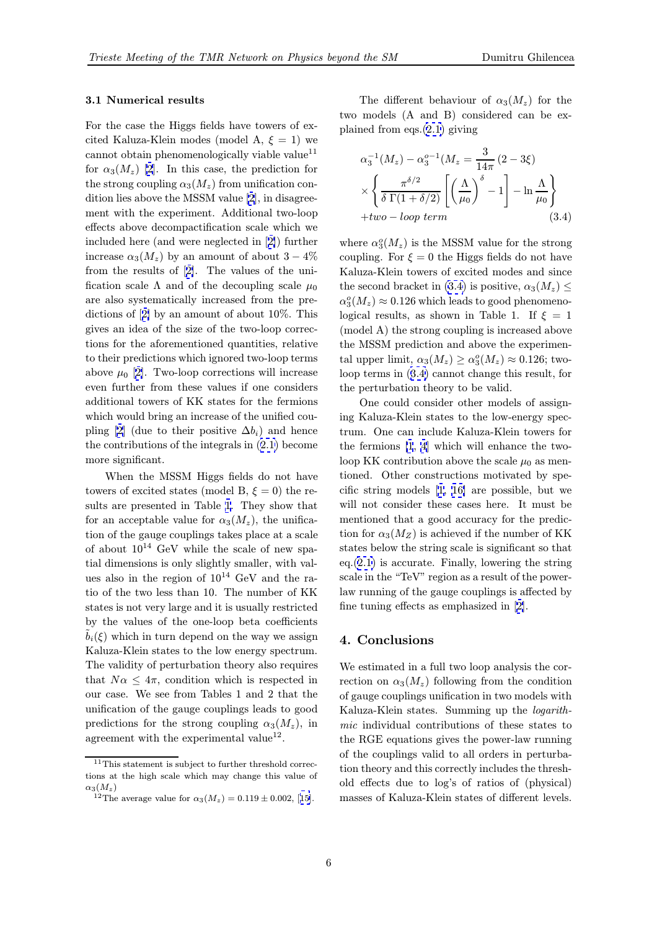#### 3.1 Numerical results

For the case the Higgs fields have towers of excited Kaluza-Klein modes (model A,  $\xi = 1$ ) we cannot obtain phenomenologically viable value<sup>11</sup> for  $\alpha_3(M_z)$  [2]. In this case, the prediction for the strong coupling  $\alpha_3(M_z)$  from unification condition lies above the MSSM value [2], in disagreement with the experiment. Additional two-loop effects abov[e d](#page-6-0)ecompactification scale which we included here (and were neglected in [2]) further increase  $\alpha_3(M_z)$  by [a](#page-6-0)n amount of about  $3-4\%$ from the results of [2]. The values of the unification scale  $\Lambda$  and of the decoupling scale  $\mu_0$ are also systematically increased fro[m](#page-6-0) the predictions of [2] by an amount of about 10%. This gives an idea of the [si](#page-6-0)ze of the two-loop corrections for the aforementioned quantities, relative to their predictions which ignored two-loop terms above  $\mu_0$  [2[\].](#page-6-0) Two-loop corrections will increase even further from these values if one considers additional towers of KK states for the fermions which would bring an increase of the unified coupling [2] ([du](#page-6-0)e to their positive  $\Delta b_i$ ) and hence the contributions of the integrals in (2.1) become more significant.

When the MSSM Higgs fields do not have t[o](#page-6-0)wers of excited states (model B,  $\xi = 0$ ) the results are presented in Table 1. The[y](#page-2-0) [sh](#page-2-0)ow that for an acceptable value for  $\alpha_3(M_z)$ , the unification of the gauge couplings takes place at a scale of about  $10^{14}$  GeV while the scale of new spatial dimensions is only slightl[y](#page-7-0) smaller, with values also in the region of  $10^{14}$  GeV and the ratio of the two less than 10. The number of KK states is not very large and it is usually restricted by the values of the one-loop beta coefficients  $b_i(\xi)$  which in turn depend on the way we assign Kaluza-Klein states to the low energy spectrum. The validity of perturbation theory also requires that  $N\alpha \leq 4\pi$ , condition which is respected in our case. We see from Tables 1 and 2 that the unification of the gauge couplings leads to good predictions for the strong coupling  $\alpha_3(M_z)$ , in agreement with the experimental value<sup>12</sup>.

The different behaviour of  $\alpha_3(M_z)$  for the two models (A and B) considered can be explained from eqs.(2.1) giving

$$
\alpha_3^{-1}(M_z) - \alpha_3^{-1}(M_z) = \frac{3}{14\pi} (2 - 3\xi)
$$
  
 
$$
\times \left\{ \frac{\pi^{\delta/2}}{\delta \Gamma(1 + \delta/2)} \left[ \left( \frac{\Lambda}{\mu_0} \right)^{\delta} - 1 \right] - \ln \frac{\Lambda}{\mu_0} \right\}
$$
  
+*two-loop term* (3.4)

where  $\alpha_3^o(M_z)$  is the MSSM value for the strong coupling. For  $\xi = 0$  the Higgs fields do not have Kaluza-Klein towers of excited modes and since the second bracket in (3.4) is positive,  $\alpha_3(M_z) \leq$  $\alpha_3^o(M_z) \approx 0.126$  which leads to good phenomenological results, as shown in Table 1. If  $\xi = 1$ (model A) the strong coupling is increased above the MSSM prediction and above the experimental upper limit,  $\alpha_3(M_z) \ge \alpha_3^o(M_z) \approx 0.126$ ; twoloop terms in (3.4) cannot change this result, for the perturbation theory to be valid.

One could consider other models of assigning Kaluza-Klein states to the low-energy spectrum. One can include Kaluza-Klein towers for the fermions [1, 4] which will enhance the twoloop KK contribution above the scale  $\mu_0$  as mentioned. Other constructions motivated by specific string models [1, 16] are possible, but we will not consi[d](#page-6-0)e[r](#page-6-0) these cases here. It must be mentioned that a good accuracy for the prediction for  $\alpha_3(M_Z)$  is achieved if the number of KK states below the stri[ng](#page-6-0) [sca](#page-6-0)le is significant so that  $eq.(2.1)$  is accurate. Finally, lowering the string scale in the "TeV" region as a result of the powerlaw running of the gauge couplings is affected by fine [tun](#page-2-0)ing effects as emphasized in [2].

#### 4. Conclusions

We estimated in a full two loop anal[ys](#page-6-0)is the correction on  $\alpha_3(M_z)$  following from the condition of gauge couplings unification in two models with Kaluza-Klein states. Summing up the logarithmic individual contributions of these states to the RGE equations gives the power-law running of the couplings valid to all orders in perturbation theory and this correctly includes the threshold effects due to log's of ratios of (physical) masses of Kaluza-Klein states of different levels.

<sup>11</sup>This statement is subject to further threshold corrections at the high scale which may change this value of  $\alpha_3(M_z)$ 

<sup>&</sup>lt;sup>12</sup>The average value for  $\alpha_3(M_z)=0.119 \pm 0.002$ , [15].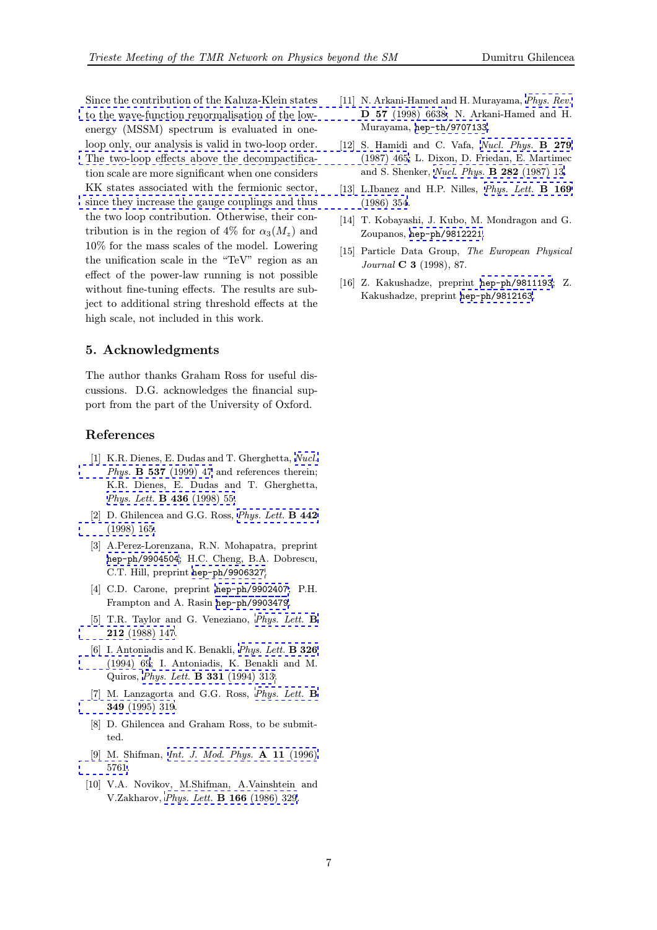<span id="page-6-0"></span>Since the contribution of the Kaluza-Klein states to the wave-function renormalisation of the lowenergy (MSSM) spectrum is evaluated in oneloop only, our analysis is valid in two-loop order. The two-loop effects above the decompactifica[tion](http://www-spires.slac.stanford.edu/spires/find/hep/www?j=PHRVA%2CD{57}%2C6638) [scale](http://www-spires.slac.stanford.edu/spires/find/hep/www?j=PHRVA%2CD{57}%2C6638) [are](http://www-spires.slac.stanford.edu/spires/find/hep/www?j=PHRVA%2CD{57}%2C6638) [more](http://www-spires.slac.stanford.edu/spires/find/hep/www?j=PHRVA%2CD{57}%2C6638) [significant](http://www-spires.slac.stanford.edu/spires/find/hep/www?j=PHRVA%2CD{57}%2C6638) [when](http://www-spires.slac.stanford.edu/spires/find/hep/www?j=PHRVA%2CD{57}%2C6638) [one](http://www-spires.slac.stanford.edu/spires/find/hep/www?j=PHRVA%2CD{57}%2C6638) [considers](http://www-spires.slac.stanford.edu/spires/find/hep/www?j=PHRVA%2CD{57}%2C6638) KK states associated with the fermionic sector, since they increase the gauge couplings and thus [the two loop contribution. Otherwise, their con](http://www-spires.slac.stanford.edu/spires/find/hep/www?j=NUPHA%2CB{279}%2C465)tribution is in the region of 4% for  $\alpha_3(M_z)$  and 10% for the mass scales of the model. Lowering [the unification scale in the "TeV" region as an](http://www-spires.slac.stanford.edu/spires/find/hep/www?j=PHLTA%2CB{169}%2C354) effect of the power-law running is not possible without fine-tuning effects. The results are subject to additional string threshold effects at the high scale, not included in this work.

## 5. Acknowledgments

The author thanks Graham Ross for useful discussions. D.G. acknowledges the financial support from the part of the University of Oxford.

### References

- [1] K.R. Dienes, E. Dudas and T. Gherghetta, Nucl. Phys. B 537 (1999) 47 and references therein; K.R. Dienes, E. Dudas and T. Gherghetta, Phys. Lett. B 436 (1998) 55.
- [2] D. Ghilencea and G.G. Ross, *Phys. Lett.* **[B 442](http://www-spires.slac.stanford.edu/spires/find/hep/www?j=NUPHA%2CB{537}%2C47)** [\(1998\) 165.](http://www-spires.slac.stanford.edu/spires/find/hep/www?j=NUPHA%2CB{537}%2C47)
- [3] [A.Perez-Lorenzana, R.N. Mo](http://www-spires.slac.stanford.edu/spires/find/hep/www?j=PHLTA%2CB{436}%2C55)hapatra, preprint hep-ph/9904504; H.C. Cheng, B.A. Dobrescu, C.T. Hill, preprint hep-ph/9[906327](http://www-spires.slac.stanford.edu/spires/find/hep/www?j=PHLTA%2CB{442}%2C165).
- [\[4\]](http://www-spires.slac.stanford.edu/spires/find/hep/www?j=PHLTA%2CB{442}%2C165) [C.D.](http://www-spires.slac.stanford.edu/spires/find/hep/www?j=PHLTA%2CB{442}%2C165) [Caro](http://www-spires.slac.stanford.edu/spires/find/hep/www?j=PHLTA%2CB{442}%2C165)ne, preprint hep-ph/9902407; P.H. Frampton and A. Rasin hep-ph/9903479.
- [5] [T.R.](http://xxx.lanl.gov/abs/hep-ph/9904504) [Taylor](http://xxx.lanl.gov/abs/hep-ph/9904504) [and](http://xxx.lanl.gov/abs/hep-ph/9904504) [G. Veneziano,](http://xxx.lanl.gov/abs/hep-ph/9906327) Phys. Lett. B 212 (1988) 147.
- [6] I. Antoniadis and K. Benakli, [Phys.](http://xxx.lanl.gov/abs/hep-ph/9902407) [Lett.](http://xxx.lanl.gov/abs/hep-ph/9902407) B 326 (1994) 69; I. Antoniadi[s,](http://xxx.lanl.gov/abs/hep-ph/9903479) [K.](http://xxx.lanl.gov/abs/hep-ph/9903479) [Benakli](http://xxx.lanl.gov/abs/hep-ph/9903479) [a](http://xxx.lanl.gov/abs/hep-ph/9903479)nd M. Quiros, Phys. Lett. B 331 (1994[\) 313.](http://www-spires.slac.stanford.edu/spires/find/hep/www?j=PHLTA%2CB{212}%2C147)
- [\[7\]](http://www-spires.slac.stanford.edu/spires/find/hep/www?j=PHLTA%2CB{212}%2C147) [M.](http://www-spires.slac.stanford.edu/spires/find/hep/www?j=PHLTA%2CB{212}%2C147) [Lanzagorta](http://www-spires.slac.stanford.edu/spires/find/hep/www?j=PHLTA%2CB{212}%2C147) and G.G. Ross, [Phys. Lett.](http://www-spires.slac.stanford.edu/spires/find/hep/www?j=PHLTA%2CB{326}%2C69) B 349 (1995) 319.
- [\[8\]](http://www-spires.slac.stanford.edu/spires/find/hep/www?j=PHLTA%2CB{326}%2C69) [D.](http://www-spires.slac.stanford.edu/spires/find/hep/www?j=PHLTA%2CB{326}%2C69) [Ghilen](http://www-spires.slac.stanford.edu/spires/find/hep/www?j=PHLTA%2CB{326}%2C69)[cea and Graham Ross, to b](http://www-spires.slac.stanford.edu/spires/find/hep/www?j=PHLTA%2CB{331}%2C313)e submitted.
- [\[9\] M. Shifman,](http://www-spires.slac.stanford.edu/spires/find/hep/www?j=PHLTA%2CB{349}%2C319) Int. J. Mod. Phys. A 11 [\(1996\)](http://www-spires.slac.stanford.edu/spires/find/hep/www?j=PHLTA%2CB{349}%2C319) 5761.
- [10] V.A. Novikov, M.Shifman, A.Vainshtein and V.Zakharov, Phys. Lett. B 166 [\(1986\)](http://www-spires.slac.stanford.edu/spires/find/hep/www?j=IMPAE%2CA{11}%2C5761) [329.](http://www-spires.slac.stanford.edu/spires/find/hep/www?j=IMPAE%2CA{11}%2C5761)
- [11] N. Arkani-Hamed and H. Murayama, Phys. Rev. D 57 (1998) 6638; N. Arkani-Hamed and H. Murayama, hep-th/9707133.
- [12] S. Hamidi and C. Vafa, Nucl. Phys. **B 279** (1987) 465; L. Dixon, D. Friedan, E. [Martimec](http://www-spires.slac.stanford.edu/spires/find/hep/www?j=PHRVA%2CD{57}%2C6638) and S. Shenker, Nucl. Phys. B 282 (1987) 13.
- [13] L.Ibanez a[nd](http://xxx.lanl.gov/abs/hep-th/9707133) [H.P.](http://xxx.lanl.gov/abs/hep-th/9707133) [Nilles,](http://xxx.lanl.gov/abs/hep-th/9707133) *[Phys. Lett.](http://www-spires.slac.stanford.edu/spires/find/hep/www?j=NUPHA%2CB{279}%2C465)* **B** 169 (1986) 354.
- [14] T. Kobayashi, J[. Kubo, M. Mondragon and G](http://www-spires.slac.stanford.edu/spires/find/hep/www?j=NUPHA%2CB{282}%2C13). Zoupanos, hep-ph/9812221.
- [15] Particle Data Group, The [European](http://www-spires.slac.stanford.edu/spires/find/hep/www?j=PHLTA%2CB{169}%2C354) [Physical](http://www-spires.slac.stanford.edu/spires/find/hep/www?j=PHLTA%2CB{169}%2C354) Journal C 3 (1998), 87.
- [16] Z. Kakush[adze, preprint](http://xxx.lanl.gov/abs/hep-ph/9812221) hep-ph/9811193; Z. Kakushadze, preprint hep-ph/9812163.